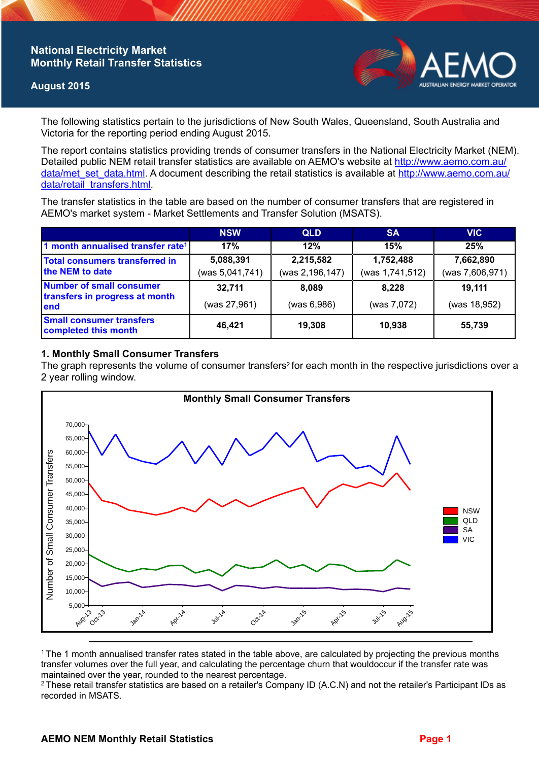# **National Electricity Market Monthly Retail Transfer Statistics**

### **August 2015**



The following statistics pertain to the jurisdictions of New South Wales, Queensland, South Australia and Victoria for the reporting period ending August 2015.

The report contains statistics providing trends of consumer transfers in the National Electricity Market (NEM). Detailed public NEM retail transfer statistics are available on AEMO's website at [http://www.aemo.com.au/](http://www.aemo.com.au/data/met_set_data.html) [data/met\\_set\\_data.html](http://www.aemo.com.au/data/met_set_data.html). A document describing the retail statistics is available at [http://www.aemo.com.au/](http://www.aemo.com.au/data/retail_transfers.html) [data/retail\\_transfers.html](http://www.aemo.com.au/data/retail_transfers.html).

The transfer statistics in the table are based on the number of consumer transfers that are registered in AEMO's market system - Market Settlements and Transfer Solution (MSATS).

|                                                                    | <b>NSW</b>                   | <b>QLD</b>                   | <b>SA</b>                    | <b>VIC</b>                   |
|--------------------------------------------------------------------|------------------------------|------------------------------|------------------------------|------------------------------|
| 1 month annualised transfer rate <sup>1</sup>                      | 17%                          | 12%                          | 15%                          | 25%                          |
| Total consumers transferred in<br>the NEM to date                  | 5,088,391<br>(was 5,041,741) | 2,215,582<br>(was 2,196,147) | 1,752,488<br>(was 1,741,512) | 7,662,890<br>(was 7,606,971) |
| Number of small consumer<br>transfers in progress at month<br>lend | 32,711<br>(was 27,961)       | 8.089<br>(was 6,986)         | 8.228<br>(was 7,072)         | 19,111<br>(was 18,952)       |
| <b>Small consumer transfers</b><br>completed this month            | 46,421                       | 19,308                       | 10.938                       | 55,739                       |

### **1. Monthly Small Consumer Transfers**

The graph represents the volume of consumer transfers<sup>2</sup> for each month in the respective jurisdictions over a 2 year rolling window.



<sup>1</sup>The 1 month annualised transfer rates stated in the table above, are calculated by projecting the previous months transfer volumes over the full year, and calculating the percentage churn that wouldoccur if the transfer rate was maintained over the year, rounded to the nearest percentage.

<sup>2</sup> These retail transfer statistics are based on a retailer's Company ID (A.C.N) and not the retailer's Participant IDs as recorded in MSATS.